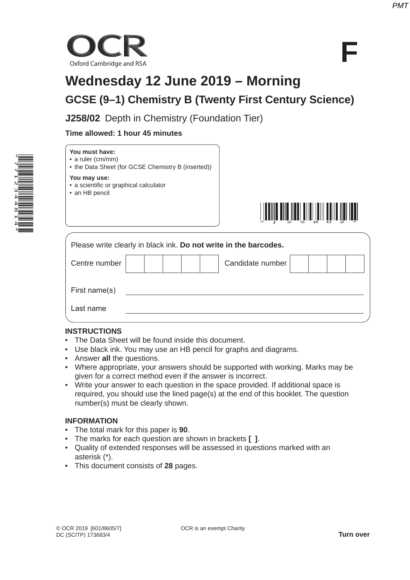

# **Wednesday 12 June 2019 – Morning GCSE (9–1) Chemistry B (Twenty First Century Science)**

**J258/02** Depth in Chemistry (Foundation Tier)

# **Time allowed: 1 hour 45 minutes**



| You must have:          |
|-------------------------|
| $\cdot$ a ruler (cm/mm) |

• the Data Sheet (for GCSE Chemistry B (inserted))

#### **You may use:**

- a scientific or graphical calculator
- an HB pencil



| Please write clearly in black ink. Do not write in the barcodes. |  |  |  |  |  |                  |  |  |
|------------------------------------------------------------------|--|--|--|--|--|------------------|--|--|
| Centre number                                                    |  |  |  |  |  | Candidate number |  |  |
| First name(s)                                                    |  |  |  |  |  |                  |  |  |
| Last name                                                        |  |  |  |  |  |                  |  |  |

### **INSTRUCTIONS**

- The Data Sheet will be found inside this document.
- Use black ink. You may use an HB pencil for graphs and diagrams.
- Answer **all** the questions.
- Where appropriate, your answers should be supported with working. Marks may be given for a correct method even if the answer is incorrect.
- Write your answer to each question in the space provided. If additional space is required, you should use the lined page(s) at the end of this booklet. The question number(s) must be clearly shown.

# **INFORMATION**

- The total mark for this paper is **90**.
- The marks for each question are shown in brackets **[ ]**.
- Quality of extended responses will be assessed in questions marked with an asterisk (\*).
- This document consists of **28** pages.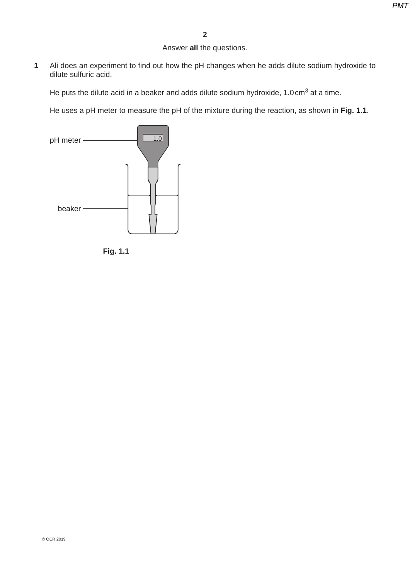Answer **all** the questions.

**1** Ali does an experiment to find out how the pH changes when he adds dilute sodium hydroxide to dilute sulfuric acid.

He puts the dilute acid in a beaker and adds dilute sodium hydroxide,  $1.0 \text{ cm}^3$  at a time.

He uses a pH meter to measure the pH of the mixture during the reaction, as shown in **Fig. 1.1**.



**Fig. 1.1**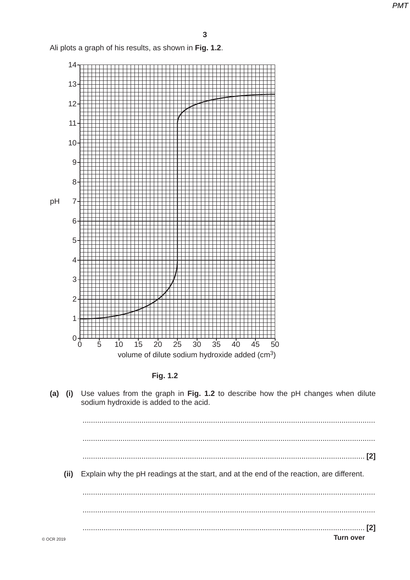Ali plots a graph of his results, as shown in Fig. 1.2.



Fig. 1.2

Use values from the graph in Fig. 1.2 to describe how the pH changes when dilute  $(a)$  (i) sodium hydroxide is added to the acid.

 $(ii)$ Explain why the pH readings at the start, and at the end of the reaction, are different. **Turn over**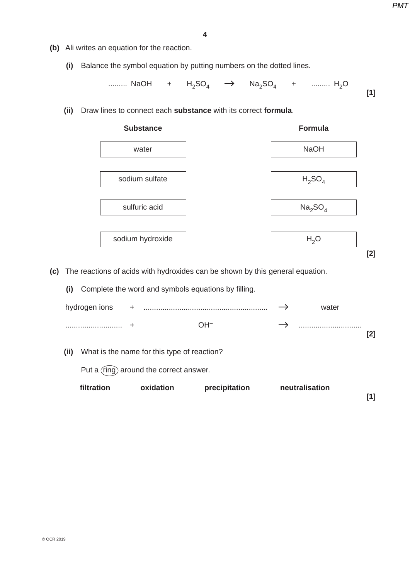**[1]**

- **(b)** Ali writes an equation for the reaction.
	- **(i)** Balance the symbol equation by putting numbers on the dotted lines.

......... NaOH +  $H_2SO_4$   $\rightarrow$  Na<sub>2</sub>SO<sub>4</sub> + ......... H<sub>2</sub>O

 **(ii)** Draw lines to connect each **substance** with its correct **formula**.



 **(c)** The reactions of acids with hydroxides can be shown by this general equation.

 **(i)** Complete the word and symbols equations by filling.

|      | filtration    |       | oxidation                                   | precipitation | neutralisation |     |
|------|---------------|-------|---------------------------------------------|---------------|----------------|-----|
|      |               |       | Put a (ring) around the correct answer.     |               |                |     |
| (ii) |               |       | What is the name for this type of reaction? |               |                |     |
|      |               |       |                                             | $OH^-$        |                | [2] |
|      | hydrogen ions | $\pm$ |                                             |               | water          |     |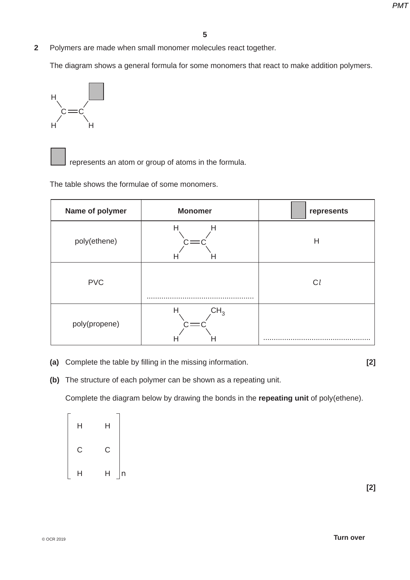**2** Polymers are made when small monomer molecules react together.

The diagram shows a general formula for some monomers that react to make addition polymers.



represents an atom or group of atoms in the formula.

The table shows the formulae of some monomers.

| Name of polymer | <b>Monomer</b>            | represents |
|-----------------|---------------------------|------------|
| poly(ethene)    | Н<br>Н<br>п<br>H          | Н          |
| <b>PVC</b>      |                           | $C_l$      |
| poly(propene)   | CH <sub>3</sub><br>Н<br>п |            |

 **(a)** Complete the table by filling in the missing information. **[2]**

 **(b)** The structure of each polymer can be shown as a repeating unit.

Complete the diagram below by drawing the bonds in the **repeating unit** of poly(ethene).

| Н | Η               |
|---|-----------------|
| C | C               |
| Η | Η<br>$\sqrt{n}$ |

 **[2]**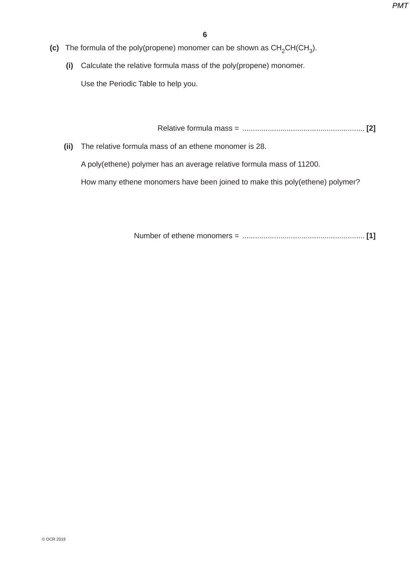- **(c)** The formula of the poly(propene) monomer can be shown as  $CH_2CH(CH_3)$ .
	- **(i)** Calculate the relative formula mass of the poly(propene) monomer.

Use the Periodic Table to help you.

Relative formula mass = .......................................................... **[2]**

 **(ii)** The relative formula mass of an ethene monomer is 28.

A poly(ethene) polymer has an average relative formula mass of 11200.

How many ethene monomers have been joined to make this poly(ethene) polymer?

Number of ethene monomers = .......................................................... **[1]**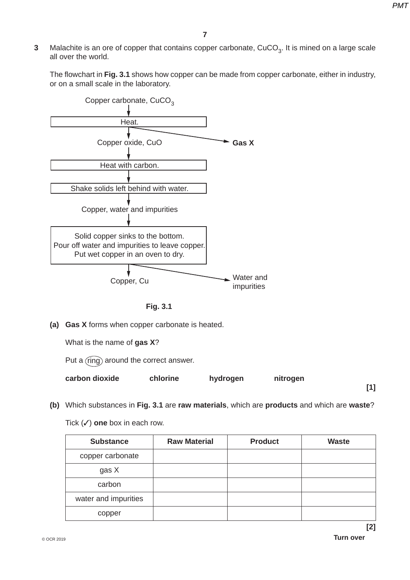**3** Malachite is an ore of copper that contains copper carbonate, CuCO<sub>3</sub>. It is mined on a large scale all over the world.

The flowchart in **Fig. 3.1** shows how copper can be made from copper carbonate, either in industry, or on a small scale in the laboratory.





 **(a) Gas X** forms when copper carbonate is heated.

What is the name of **gas X**?

Put a  $r$ ing) around the correct answer.

| carbon dioxide | chlorine | hydrogen | nitrogen |  |
|----------------|----------|----------|----------|--|
|                |          |          |          |  |

 **(b)** Which substances in **Fig. 3.1** are **raw materials**, which are **products** and which are **waste**?

Tick (✓) **one** box in each row.

| <b>Substance</b>     | <b>Raw Material</b> | <b>Product</b> | <b>Waste</b> |
|----------------------|---------------------|----------------|--------------|
| copper carbonate     |                     |                |              |
| gas X                |                     |                |              |
| carbon               |                     |                |              |
| water and impurities |                     |                |              |
| copper               |                     |                |              |

 **[2]**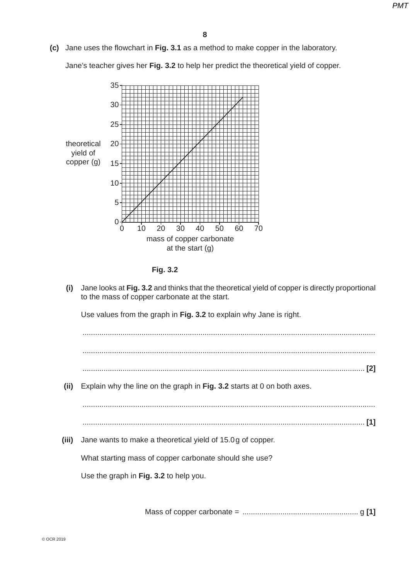**(c)** Jane uses the flowchart in **Fig. 3.1** as a method to make copper in the laboratory.

Jane's teacher gives her **Fig. 3.2** to help her predict the theoretical yield of copper.





 **(i)** Jane looks at **Fig. 3.2** and thinks that the theoretical yield of copper is directly proportional to the mass of copper carbonate at the start.

Use values from the graph in **Fig. 3.2** to explain why Jane is right.

 ........................................................................................................................................... ........................................................................................................................................... ...................................................................................................................................... **[2]**

 **(ii)** Explain why the line on the graph in **Fig. 3.2** starts at 0 on both axes.

 ........................................................................................................................................... ...................................................................................................................................... **[1]**

 **(iii)** Jane wants to make a theoretical yield of 15.0 g of copper.

What starting mass of copper carbonate should she use?

Use the graph in **Fig. 3.2** to help you.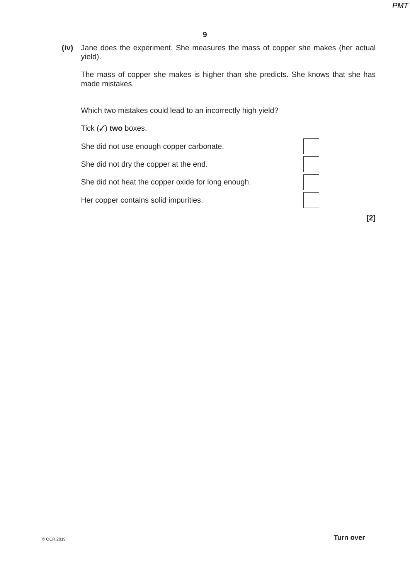**(iv)** Jane does the experiment. She measures the mass of copper she makes (her actual yield).

The mass of copper she makes is higher than she predicts. She knows that she has made mistakes.

Which two mistakes could lead to an incorrectly high yield?

Tick (✓) **two** boxes.

She did not use enough copper carbonate.

She did not dry the copper at the end.

She did not heat the copper oxide for long enough.

Her copper contains solid impurities.



 **[2]**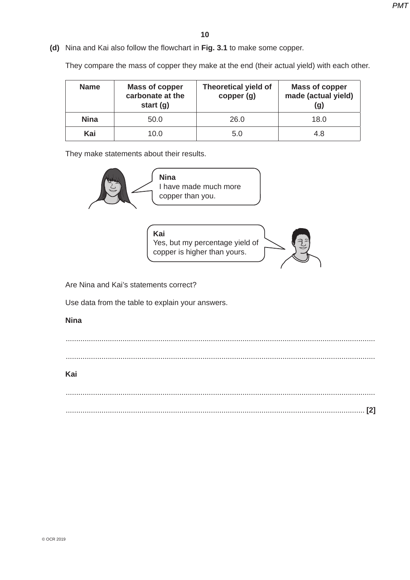**(d)** Nina and Kai also follow the flowchart in **Fig. 3.1** to make some copper.

They compare the mass of copper they make at the end (their actual yield) with each other.

| <b>Name</b> | <b>Mass of copper</b><br>carbonate at the<br>start $(g)$ | <b>Theoretical yield of</b><br>copper (g) | <b>Mass of copper</b><br>made (actual yield)<br>(g) |
|-------------|----------------------------------------------------------|-------------------------------------------|-----------------------------------------------------|
| <b>Nina</b> | 50.0                                                     | 26.0                                      | 18.0                                                |
| Kai         | 10.0                                                     | 5.0                                       | 4.8                                                 |

They make statements about their results.



Use data from the table to explain your answers.

### **Nina**

 ................................................................................................................................................... ...................................................................................................................................................

# **Kai**

 ................................................................................................................................................... .............................................................................................................................................. **[2]**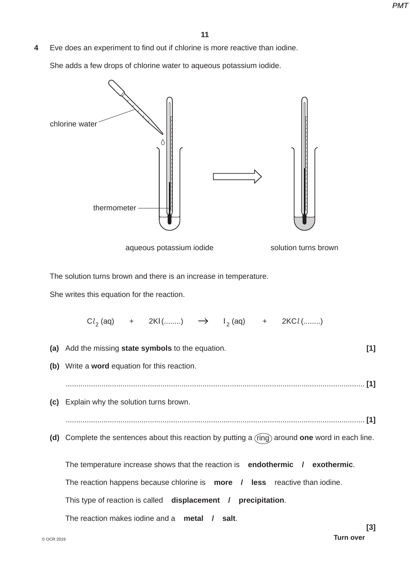**4** Eve does an experiment to find out if chlorine is more reactive than iodine.

She adds a few drops of chlorine water to aqueous potassium iodide.

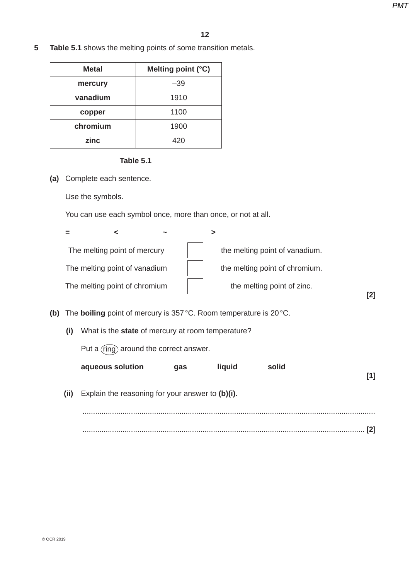**5 Table 5.1** shows the melting points of some transition metals.

| <b>Metal</b> | Melting point (°C) |
|--------------|--------------------|
| mercury      | $-39$              |
| vanadium     | 1910               |
| copper       | 1100               |
| chromium     | 1900               |
| zinc         |                    |

#### **Table 5.1**

 **(a)** Complete each sentence.

Use the symbols.

You can use each symbol once, more than once, or not at all.

| $\sim$                        |                                |
|-------------------------------|--------------------------------|
| The melting point of mercury  | the melting point of vanadium. |
| The melting point of vanadium | the melting point of chromium. |
| The melting point of chromium | the melting point of zinc.     |
|                               | [2]                            |

- **(b)** The **boiling** point of mercury is 357 °C. Room temperature is 20 °C.
	- **(i)** What is the **state** of mercury at room temperature?

Put a  $r(nq)$  around the correct answer.

| solid | liquid | qas | aqueous solution                                      |  |
|-------|--------|-----|-------------------------------------------------------|--|
|       |        |     | (ii) Explain the reasoning for your answer to (b)(i). |  |
|       |        |     |                                                       |  |
|       |        |     |                                                       |  |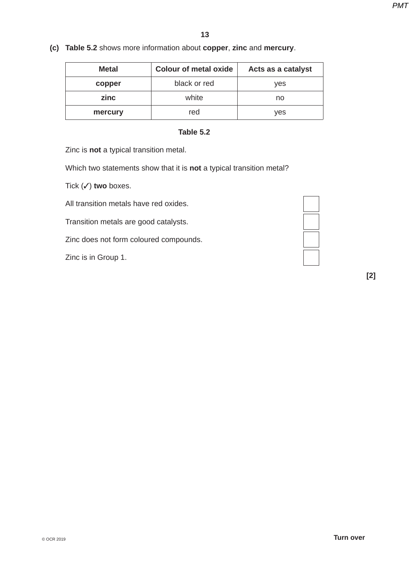**(c) Table 5.2** shows more information about **copper**, **zinc** and **mercury**.

| <b>Colour of metal oxide</b><br><b>Metal</b> |       | Acts as a catalyst |
|----------------------------------------------|-------|--------------------|
| black or red<br>copper                       |       | yes                |
| zinc                                         | white | no                 |
| mercury                                      | red   | ves                |

# **Table 5.2**

Zinc is **not** a typical transition metal.

Which two statements show that it is **not** a typical transition metal?

Tick (✓) **two** boxes.

All transition metals have red oxides.

Transition metals are good catalysts.

Zinc does not form coloured compounds.

Zinc is in Group 1.



 **[2]**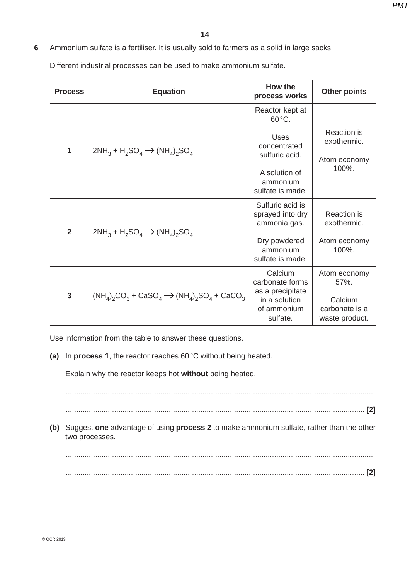# **6** Ammonium sulfate is a fertiliser. It is usually sold to farmers as a solid in large sacks.

Different industrial processes can be used to make ammonium sulfate.

| <b>Process</b> | <b>Equation</b>                                           | How the<br>process works                       | <b>Other points</b>                         |
|----------------|-----------------------------------------------------------|------------------------------------------------|---------------------------------------------|
|                |                                                           | Reactor kept at<br>$60^{\circ}$ C.             |                                             |
| 1              | $2NH_3 + H_2SO_4 \rightarrow (NH_4)_2SO_4$                | <b>Uses</b><br>concentrated                    | <b>Reaction</b> is<br>exothermic.           |
|                |                                                           | sulfuric acid.                                 | Atom economy<br>100%.                       |
|                |                                                           | A solution of<br>ammonium<br>sulfate is made.  |                                             |
|                |                                                           | Sulfuric acid is<br>sprayed into dry           | <b>Reaction</b> is                          |
| $\overline{2}$ | $2NH_3 + H_2SO_4 \rightarrow (NH_4)_2SO_4$                | ammonia gas.                                   | exothermic.                                 |
|                |                                                           | Dry powdered<br>ammonium<br>sulfate is made.   | Atom economy<br>100%.                       |
|                |                                                           | Calcium<br>carbonate forms<br>as a precipitate | Atom economy<br>57%.                        |
| $\overline{3}$ | $(NH_4)_2CO_3 + CaSO_4 \rightarrow (NH_4)_2SO_4 + CaCO_3$ | in a solution<br>of ammonium<br>sulfate.       | Calcium<br>carbonate is a<br>waste product. |

Use information from the table to answer these questions.

 **(a)** In **process 1**, the reactor reaches 60 °C without being heated.

Explain why the reactor keeps hot **without** being heated.

...................................................................................................................................................

.............................................................................................................................................. **[2]**

 **(b)** Suggest **one** advantage of using **process 2** to make ammonium sulfate, rather than the other two processes.

 ................................................................................................................................................... .............................................................................................................................................. **[2]**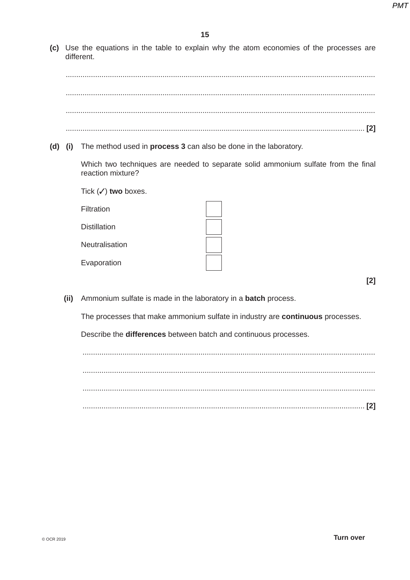(c) Use the equations in the table to explain why the atom economies of the processes are different.

(d) (i) The method used in process 3 can also be done in the laboratory.

Which two techniques are needed to separate solid ammonium sulfate from the final reaction mixture?

Tick  $(\checkmark)$  two boxes.

Filtration

**Distillation** 

Neutralisation

Evaporation

 $[2]$ 

(ii) Ammonium sulfate is made in the laboratory in a batch process.

The processes that make ammonium sulfate in industry are continuous processes.

Describe the differences between batch and continuous processes.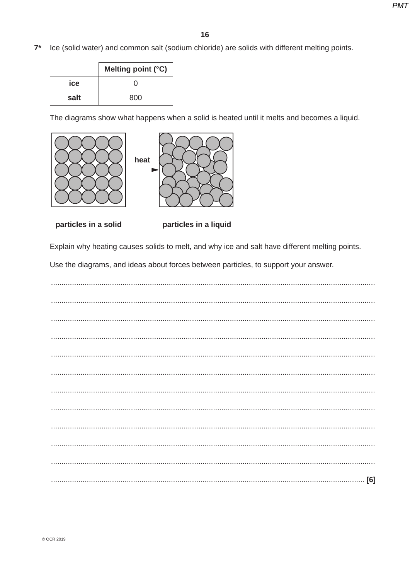Ice (solid water) and common salt (sodium chloride) are solids with different melting points.  $7^*$ 

|      | Melting point (°C) |
|------|--------------------|
| ice  |                    |
| salt | 800                |

The diagrams show what happens when a solid is heated until it melts and becomes a liquid.





particles in a solid

particles in a liquid

Explain why heating causes solids to melt, and why ice and salt have different melting points.

Use the diagrams, and ideas about forces between particles, to support your answer.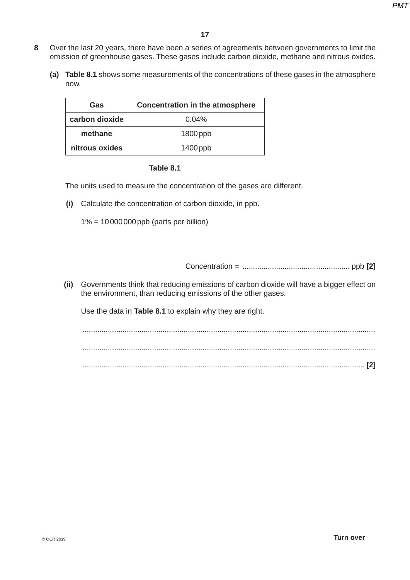- **8** Over the last 20 years, there have been a series of agreements between governments to limit the emission of greenhouse gases. These gases include carbon dioxide, methane and nitrous oxides.
	- **(a) Table 8.1** shows some measurements of the concentrations of these gases in the atmosphere now.

| Gas            | <b>Concentration in the atmosphere</b> |
|----------------|----------------------------------------|
| carbon dioxide | $0.04\%$                               |
| methane        | $1800$ ppb                             |
| nitrous oxides | $1400$ ppb                             |

#### **Table 8.1**

The units used to measure the concentration of the gases are different.

 **(i)** Calculate the concentration of carbon dioxide, in ppb.

1% = 10 000 000 ppb (parts per billion)

Concentration = ................................................... ppb **[2]**

 **(ii)** Governments think that reducing emissions of carbon dioxide will have a bigger effect on the environment, than reducing emissions of the other gases.

Use the data in **Table 8.1** to explain why they are right.

 ........................................................................................................................................... ........................................................................................................................................... ...................................................................................................................................... **[2]**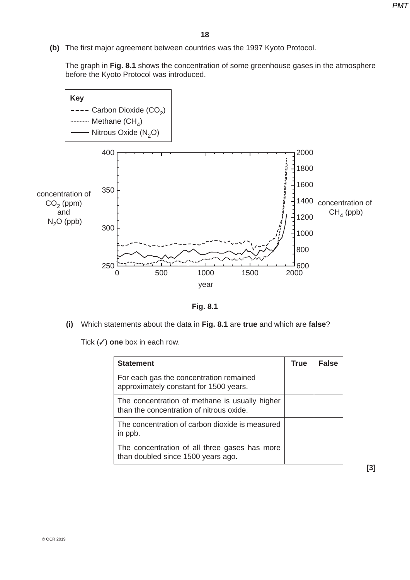**(b)** The first major agreement between countries was the 1997 Kyoto Protocol.

The graph in **Fig. 8.1** shows the concentration of some greenhouse gases in the atmosphere before the Kyoto Protocol was introduced.



**Fig. 8.1**

 **(i)** Which statements about the data in **Fig. 8.1** are **true** and which are **false**?

Tick (✓) **one** box in each row.

| <b>Statement</b>                                                                           | <b>True</b> | <b>False</b> |
|--------------------------------------------------------------------------------------------|-------------|--------------|
| For each gas the concentration remained<br>approximately constant for 1500 years.          |             |              |
| The concentration of methane is usually higher<br>than the concentration of nitrous oxide. |             |              |
| The concentration of carbon dioxide is measured<br>in ppb.                                 |             |              |
| The concentration of all three gases has more<br>than doubled since 1500 years ago.        |             |              |

 **[3]**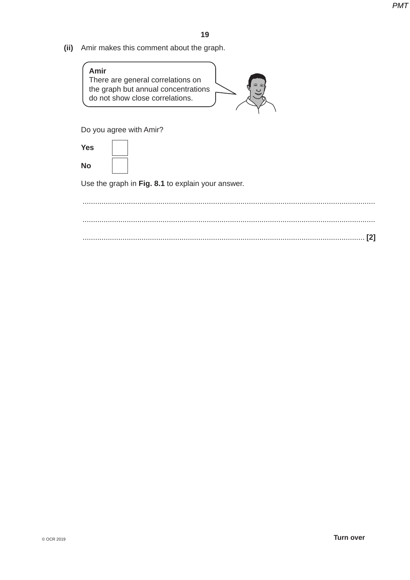**(ii)** Amir makes this comment about the graph.



Do you agree with Amir?

 **Yes No**

Use the graph in **Fig. 8.1** to explain your answer.

 ........................................................................................................................................... ........................................................................................................................................... ...................................................................................................................................... **[2]**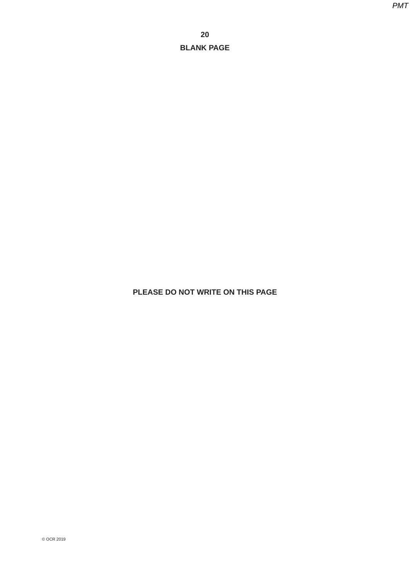# **PLEASE DO NOT WRITE ON THIS PAGE**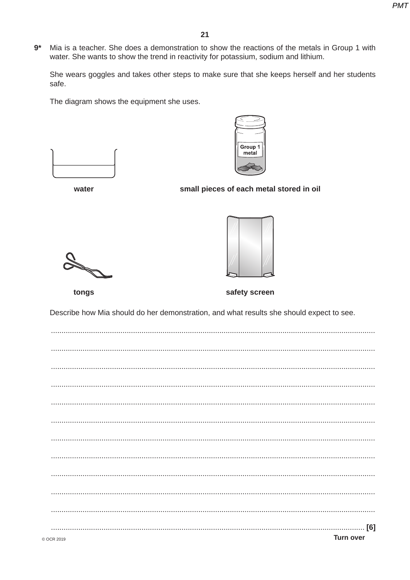$9*$ Mia is a teacher. She does a demonstration to show the reactions of the metals in Group 1 with water. She wants to show the trend in reactivity for potassium, sodium and lithium.

She wears goggles and takes other steps to make sure that she keeps herself and her students safe.

The diagram shows the equipment she uses.





water

# small pieces of each metal stored in oil





tongs

safety screen

Describe how Mia should do her demonstration, and what results she should expect to see.

| $\mathcal{N}$ P $\mathcal{N}$ 2010 | <b>Turn over</b> |
|------------------------------------|------------------|
|                                    |                  |
|                                    |                  |
|                                    |                  |
|                                    |                  |
|                                    |                  |
|                                    |                  |
|                                    |                  |
|                                    |                  |
|                                    |                  |
|                                    |                  |
|                                    |                  |
|                                    |                  |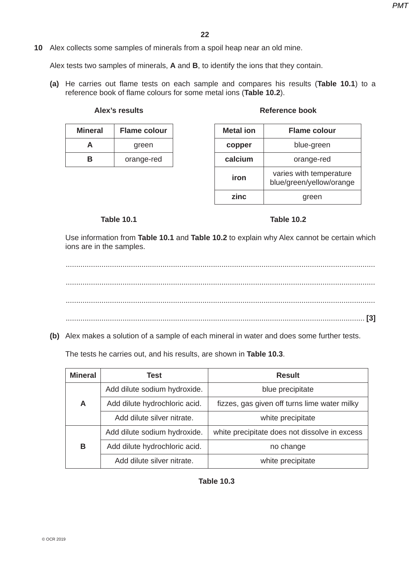# **10** Alex collects some samples of minerals from a spoil heap near an old mine.

Alex tests two samples of minerals, **A** and **B**, to identify the ions that they contain.

 **(a)** He carries out flame tests on each sample and compares his results (**Table 10.1**) to a reference book of flame colours for some metal ions (**Table 10.2**).

| Alex's results |  |
|----------------|--|
|----------------|--|

| <b>Mineral</b><br><b>Flame colour</b> |            |
|---------------------------------------|------------|
|                                       | green      |
| R                                     | orange-red |

#### **Reference book**

| <b>Metal</b> ion | <b>Flame colour</b>                                 |  |  |
|------------------|-----------------------------------------------------|--|--|
| copper           | blue-green                                          |  |  |
| calcium          | orange-red                                          |  |  |
| iron             | varies with temperature<br>blue/green/yellow/orange |  |  |
| zinc.            | green                                               |  |  |

#### **Table 10.1 Table 10.2**

Use information from **Table 10.1** and **Table 10.2** to explain why Alex cannot be certain which ions are in the samples.

 ................................................................................................................................................... ................................................................................................................................................... ................................................................................................................................................... .............................................................................................................................................. **[3]**

 **(b)** Alex makes a solution of a sample of each mineral in water and does some further tests.

The tests he carries out, and his results, are shown in **Table 10.3**.

| <b>Mineral</b> | Test                          | <b>Result</b>                                 |  |  |
|----------------|-------------------------------|-----------------------------------------------|--|--|
|                | Add dilute sodium hydroxide.  | blue precipitate                              |  |  |
| A              | Add dilute hydrochloric acid. | fizzes, gas given off turns lime water milky  |  |  |
|                | Add dilute silver nitrate.    | white precipitate                             |  |  |
|                | Add dilute sodium hydroxide.  | white precipitate does not dissolve in excess |  |  |
| В              | Add dilute hydrochloric acid. | no change                                     |  |  |
|                | Add dilute silver nitrate.    | white precipitate                             |  |  |

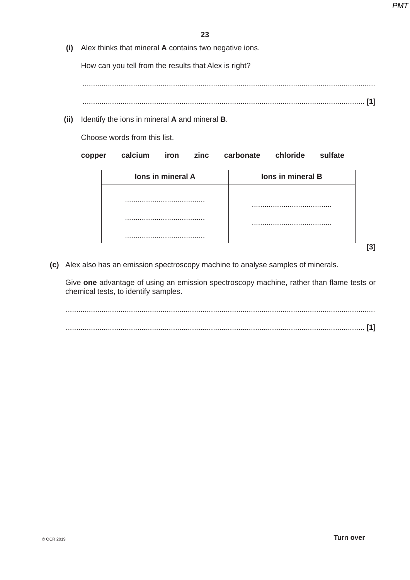**(i)** Alex thinks that mineral **A** contains two negative ions.

How can you tell from the results that Alex is right?

...........................................................................................................................................

- ...................................................................................................................................... **[1]**
- **(ii)** Identify the ions in mineral **A** and mineral **B**.

Choose words from this list.

| lons in mineral B |  | lons in mineral A |  |
|-------------------|--|-------------------|--|
|                   |  |                   |  |
|                   |  |                   |  |
|                   |  |                   |  |
|                   |  |                   |  |
|                   |  |                   |  |

 **(c)** Alex also has an emission spectroscopy machine to analyse samples of minerals.

Give **one** advantage of using an emission spectroscopy machine, rather than flame tests or chemical tests, to identify samples.

 ................................................................................................................................................... .............................................................................................................................................. **[1]**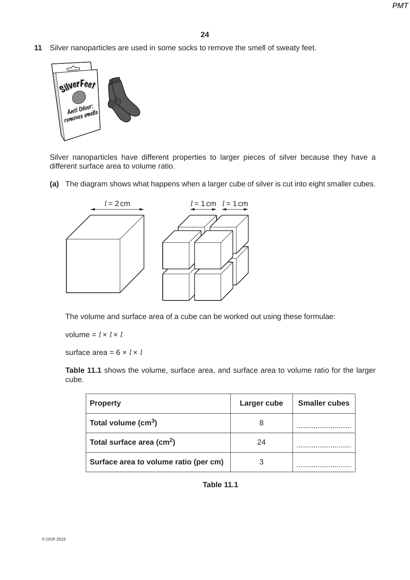**11** Silver nanoparticles are used in some socks to remove the smell of sweaty feet.



Silver nanoparticles have different properties to larger pieces of silver because they have a different surface area to volume ratio.

 **(a)** The diagram shows what happens when a larger cube of silver is cut into eight smaller cubes.



The volume and surface area of a cube can be worked out using these formulae:

 $volume = l \times l \times l$ 

surface area =  $6 \times l \times l$ 

 **Table 11.1** shows the volume, surface area, and surface area to volume ratio for the larger cube.

| <b>Property</b>                       | Larger cube | <b>Smaller cubes</b> |
|---------------------------------------|-------------|----------------------|
| Total volume $(cm3)$                  |             |                      |
| Total surface area (cm <sup>2</sup> ) | 24          |                      |
| Surface area to volume ratio (per cm) |             |                      |

**Table 11.1**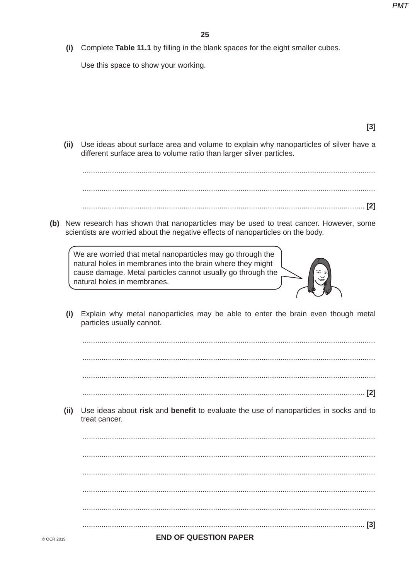$[3]$ 

(i) Complete Table 11.1 by filling in the blank spaces for the eight smaller cubes.

Use this space to show your working.

Use ideas about surface area and volume to explain why nanoparticles of silver have a  $(ii)$ different surface area to volume ratio than larger silver particles. (b) New research has shown that nanoparticles may be used to treat cancer. However, some scientists are worried about the negative effects of nanoparticles on the body. We are worried that metal nanoparticles may go through the natural holes in membranes into the brain where they might cause damage. Metal particles cannot usually go through the natural holes in membranes. Explain why metal nanoparticles may be able to enter the brain even though metal  $(i)$ particles usually cannot.  $(ii)$ Use ideas about risk and benefit to evaluate the use of nanoparticles in socks and to treat cancer. **END OF QUESTION PAPER** © OCR 2019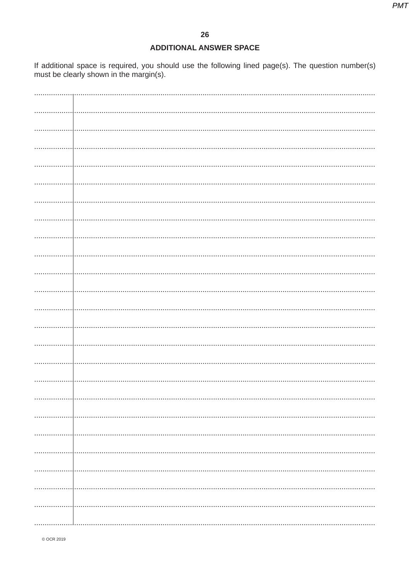# **ADDITIONAL ANSWER SPACE**

If additional space is required, you should use the following lined page(s). The question number(s) must be clearly shown in the margin(s).

| . |  |
|---|--|
|   |  |
|   |  |
|   |  |
|   |  |
|   |  |
|   |  |
|   |  |